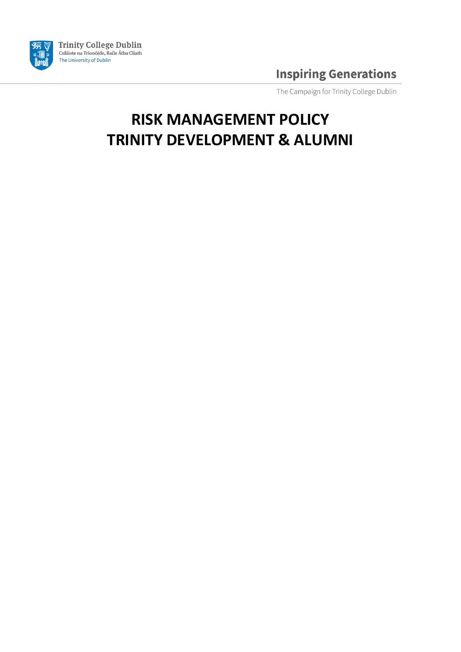

The Campaign for Trinity College Dublin

# **RISK MANAGEMENT POLICY TRINITY DEVELOPMENT & ALUMNI**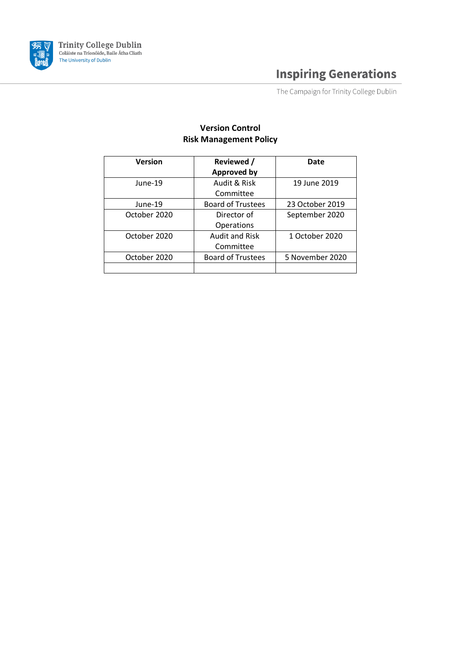

The Campaign for Trinity College Dublin

### **Version Control Risk Management Policy**

| <b>Version</b> | Reviewed /<br><b>Approved by</b>   | Date            |
|----------------|------------------------------------|-----------------|
| June-19        | Audit & Risk<br>Committee          | 19 June 2019    |
| June-19        | <b>Board of Trustees</b>           | 23 October 2019 |
| October 2020   | Director of<br>Operations          | September 2020  |
| October 2020   | <b>Audit and Risk</b><br>Committee | 1 October 2020  |
| October 2020   | <b>Board of Trustees</b>           | 5 November 2020 |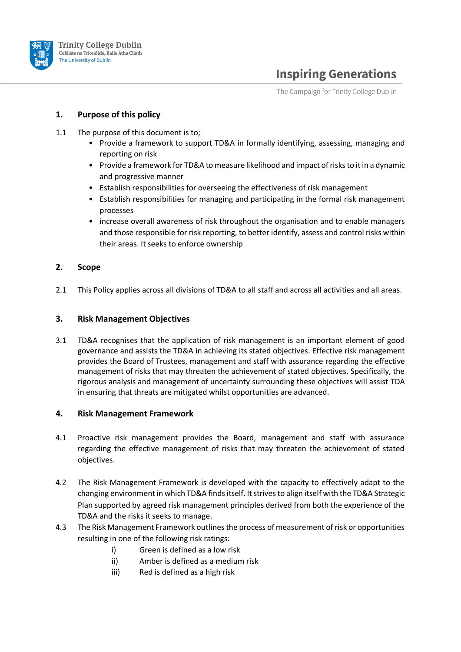

The Campaign for Trinity College Dublin

#### **1. Purpose of this policy**

- 1.1 The purpose of this document is to;
	- Provide a framework to support TD&A in formally identifying, assessing, managing and reporting on risk
	- Provide a framework for TD&A to measure likelihood and impact of risks to it in a dynamic and progressive manner
	- Establish responsibilities for overseeing the effectiveness of risk management
	- Establish responsibilities for managing and participating in the formal risk management processes
	- increase overall awareness of risk throughout the organisation and to enable managers and those responsible for risk reporting, to better identify, assess and control risks within their areas. It seeks to enforce ownership

#### **2. Scope**

2.1 This Policy applies across all divisions of TD&A to all staff and across all activities and all areas.

#### **3. Risk Management Objectives**

3.1 TD&A recognises that the application of risk management is an important element of good governance and assists the TD&A in achieving its stated objectives. Effective risk management provides the Board of Trustees, management and staff with assurance regarding the effective management of risks that may threaten the achievement of stated objectives. Specifically, the rigorous analysis and management of uncertainty surrounding these objectives will assist TDA in ensuring that threats are mitigated whilst opportunities are advanced.

#### **4. Risk Management Framework**

- 4.1 Proactive risk management provides the Board, management and staff with assurance regarding the effective management of risks that may threaten the achievement of stated objectives.
- 4.2 The Risk Management Framework is developed with the capacity to effectively adapt to the changing environment in which TD&A finds itself. It strives to align itself with the TD&A Strategic Plan supported by agreed risk management principles derived from both the experience of the TD&A and the risks it seeks to manage.
- 4.3 The Risk Management Framework outlines the process of measurement of risk or opportunities resulting in one of the following risk ratings:
	- i) Green is defined as a low risk
	- ii) Amber is defined as a medium risk
	- iii) Red is defined as a high risk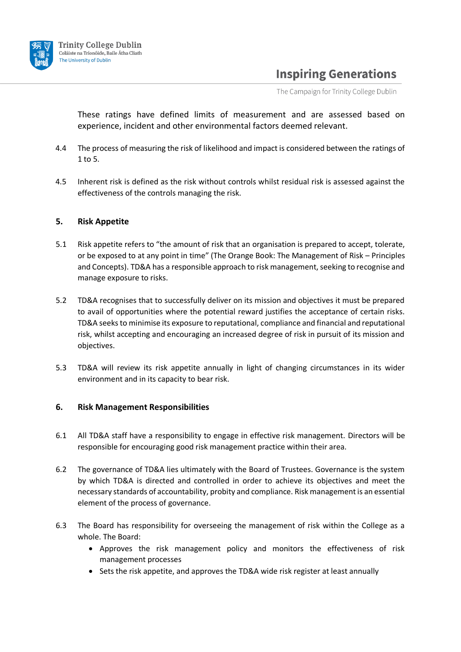

The Campaign for Trinity College Dublin

These ratings have defined limits of measurement and are assessed based on experience, incident and other environmental factors deemed relevant.

- 4.4 The process of measuring the risk of likelihood and impact is considered between the ratings of 1 to 5.
- 4.5 Inherent risk is defined as the risk without controls whilst residual risk is assessed against the effectiveness of the controls managing the risk.

#### **5. Risk Appetite**

- 5.1 Risk appetite refers to "the amount of risk that an organisation is prepared to accept, tolerate, or be exposed to at any point in time" (The Orange Book: The Management of Risk – Principles and Concepts). TD&A has a responsible approach to risk management, seeking to recognise and manage exposure to risks.
- 5.2 TD&A recognises that to successfully deliver on its mission and objectives it must be prepared to avail of opportunities where the potential reward justifies the acceptance of certain risks. TD&A seeks to minimise its exposure to reputational, compliance and financial and reputational risk, whilst accepting and encouraging an increased degree of risk in pursuit of its mission and objectives.
- 5.3 TD&A will review its risk appetite annually in light of changing circumstances in its wider environment and in its capacity to bear risk.

#### **6. Risk Management Responsibilities**

- 6.1 All TD&A staff have a responsibility to engage in effective risk management. Directors will be responsible for encouraging good risk management practice within their area.
- 6.2 The governance of TD&A lies ultimately with the Board of Trustees. Governance is the system by which TD&A is directed and controlled in order to achieve its objectives and meet the necessary standards of accountability, probity and compliance. Risk management is an essential element of the process of governance.
- 6.3 The Board has responsibility for overseeing the management of risk within the College as a whole. The Board:
	- Approves the risk management policy and monitors the effectiveness of risk management processes
	- Sets the risk appetite, and approves the TD&A wide risk register at least annually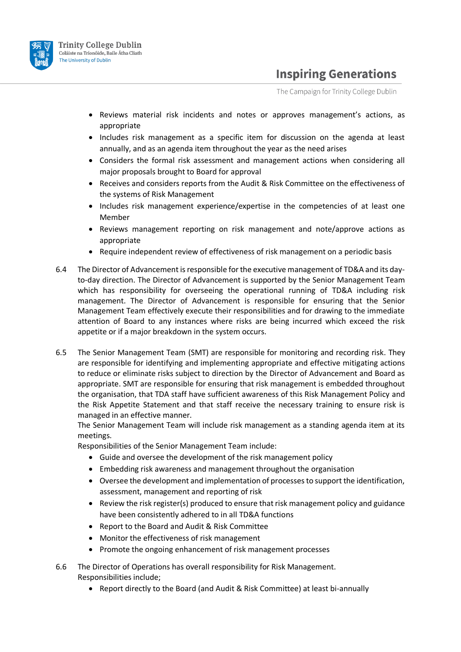

The Campaign for Trinity College Dublin

- Reviews material risk incidents and notes or approves management's actions, as appropriate
- Includes risk management as a specific item for discussion on the agenda at least annually, and as an agenda item throughout the year as the need arises
- Considers the formal risk assessment and management actions when considering all major proposals brought to Board for approval
- Receives and considers reports from the Audit & Risk Committee on the effectiveness of the systems of Risk Management
- Includes risk management experience/expertise in the competencies of at least one Member
- Reviews management reporting on risk management and note/approve actions as appropriate
- Require independent review of effectiveness of risk management on a periodic basis
- 6.4 The Director of Advancement is responsible for the executive management of TD&A and its dayto-day direction. The Director of Advancement is supported by the Senior Management Team which has responsibility for overseeing the operational running of TD&A including risk management. The Director of Advancement is responsible for ensuring that the Senior Management Team effectively execute their responsibilities and for drawing to the immediate attention of Board to any instances where risks are being incurred which exceed the risk appetite or if a major breakdown in the system occurs.
- 6.5 The Senior Management Team (SMT) are responsible for monitoring and recording risk. They are responsible for identifying and implementing appropriate and effective mitigating actions to reduce or eliminate risks subject to direction by the Director of Advancement and Board as appropriate. SMT are responsible for ensuring that risk management is embedded throughout the organisation, that TDA staff have sufficient awareness of this Risk Management Policy and the Risk Appetite Statement and that staff receive the necessary training to ensure risk is managed in an effective manner.

The Senior Management Team will include risk management as a standing agenda item at its meetings.

Responsibilities of the Senior Management Team include:

- Guide and oversee the development of the risk management policy
- Embedding risk awareness and management throughout the organisation
- Oversee the development and implementation of processes to support the identification, assessment, management and reporting of risk
- Review the risk register(s) produced to ensure that risk management policy and guidance have been consistently adhered to in all TD&A functions
- Report to the Board and Audit & Risk Committee
- Monitor the effectiveness of risk management
- Promote the ongoing enhancement of risk management processes
- 6.6 The Director of Operations has overall responsibility for Risk Management. Responsibilities include;
	- Report directly to the Board (and Audit & Risk Committee) at least bi-annually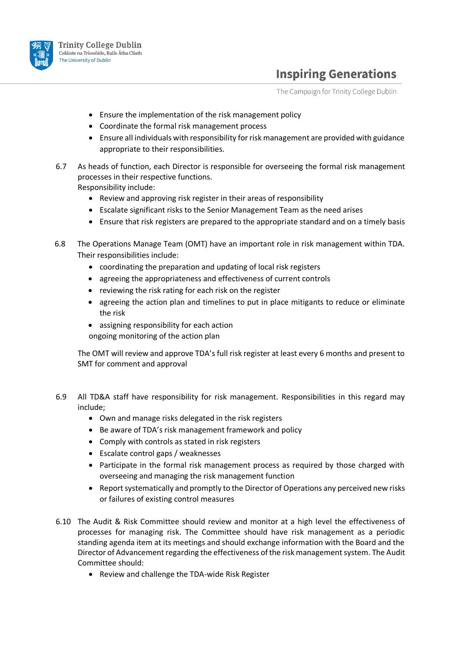

The Campaign for Trinity College Dublin

- Ensure the implementation of the risk management policy
- Coordinate the formal risk management process
- Ensure all individuals with responsibility for risk management are provided with guidance appropriate to their responsibilities.
- 6.7 As heads of function, each Director is responsible for overseeing the formal risk management processes in their respective functions.

Responsibility include:

- Review and approving risk register in their areas of responsibility
- Escalate significant risks to the Senior Management Team as the need arises
- Ensure that risk registers are prepared to the appropriate standard and on a timely basis
- 6.8 The Operations Manage Team (OMT) have an important role in risk management within TDA. Their responsibilities include:
	- coordinating the preparation and updating of local risk registers
	- agreeing the appropriateness and effectiveness of current controls
	- reviewing the risk rating for each risk on the register
	- agreeing the action plan and timelines to put in place mitigants to reduce or eliminate the risk
	- assigning responsibility for each action ongoing monitoring of the action plan

The OMT will review and approve TDA's full risk register at least every 6 months and present to SMT for comment and approval

- 6.9 All TD&A staff have responsibility for risk management. Responsibilities in this regard may include;
	- Own and manage risks delegated in the risk registers
	- Be aware of TDA's risk management framework and policy
	- Comply with controls as stated in risk registers
	- Escalate control gaps / weaknesses
	- Participate in the formal risk management process as required by those charged with overseeing and managing the risk management function
	- Report systematically and promptly to the Director of Operations any perceived new risks or failures of existing control measures
- 6.10 The Audit & Risk Committee should review and monitor at a high level the effectiveness of processes for managing risk. The Committee should have risk management as a periodic standing agenda item at its meetings and should exchange information with the Board and the Director of Advancement regarding the effectiveness of the risk management system. The Audit Committee should:
	- Review and challenge the TDA-wide Risk Register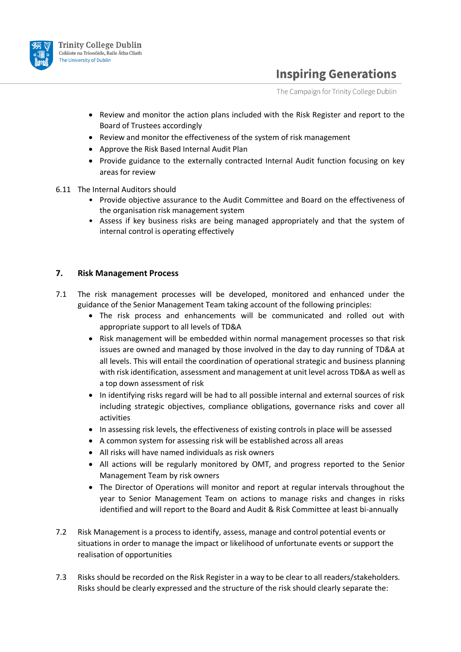

The Campaign for Trinity College Dublin

- Review and monitor the action plans included with the Risk Register and report to the Board of Trustees accordingly
- Review and monitor the effectiveness of the system of risk management
- Approve the Risk Based Internal Audit Plan
- Provide guidance to the externally contracted Internal Audit function focusing on key areas for review
- 6.11 The Internal Auditors should
	- Provide objective assurance to the Audit Committee and Board on the effectiveness of the organisation risk management system
	- Assess if key business risks are being managed appropriately and that the system of internal control is operating effectively

#### **7. Risk Management Process**

- 7.1 The risk management processes will be developed, monitored and enhanced under the guidance of the Senior Management Team taking account of the following principles:
	- The risk process and enhancements will be communicated and rolled out with appropriate support to all levels of TD&A
	- Risk management will be embedded within normal management processes so that risk issues are owned and managed by those involved in the day to day running of TD&A at all levels. This will entail the coordination of operational strategic and business planning with risk identification, assessment and management at unit level across TD&A as well as a top down assessment of risk
	- In identifying risks regard will be had to all possible internal and external sources of risk including strategic objectives, compliance obligations, governance risks and cover all activities
	- In assessing risk levels, the effectiveness of existing controls in place will be assessed
	- A common system for assessing risk will be established across all areas
	- All risks will have named individuals as risk owners
	- All actions will be regularly monitored by OMT, and progress reported to the Senior Management Team by risk owners
	- The Director of Operations will monitor and report at regular intervals throughout the year to Senior Management Team on actions to manage risks and changes in risks identified and will report to the Board and Audit & Risk Committee at least bi-annually
- 7.2 Risk Management is a process to identify, assess, manage and control potential events or situations in order to manage the impact or likelihood of unfortunate events or support the realisation of opportunities
- 7.3 Risks should be recorded on the Risk Register in a way to be clear to all readers/stakeholders. Risks should be clearly expressed and the structure of the risk should clearly separate the: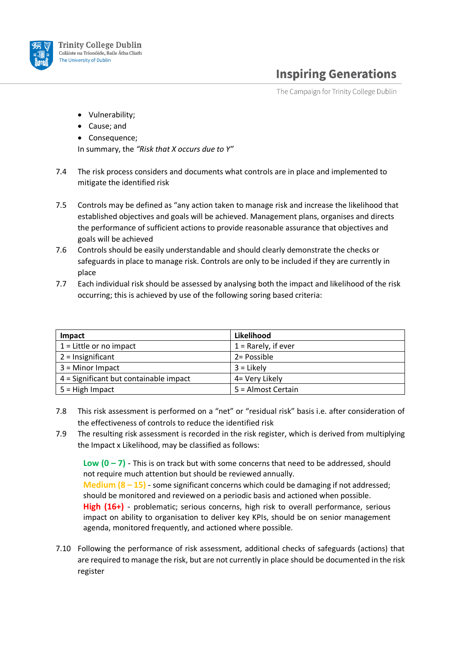

The Campaign for Trinity College Dublin

- Vulnerability;
- Cause; and
- Consequence;

In summary, the *"Risk that X occurs due to Y"*

- 7.4 The risk process considers and documents what controls are in place and implemented to mitigate the identified risk
- 7.5 Controls may be defined as "any action taken to manage risk and increase the likelihood that established objectives and goals will be achieved. Management plans, organises and directs the performance of sufficient actions to provide reasonable assurance that objectives and goals will be achieved
- 7.6 Controls should be easily understandable and should clearly demonstrate the checks or safeguards in place to manage risk. Controls are only to be included if they are currently in place
- 7.7 Each individual risk should be assessed by analysing both the impact and likelihood of the risk occurring; this is achieved by use of the following soring based criteria:

| <b>Impact</b>                          | Likelihood            |
|----------------------------------------|-----------------------|
| $1 =$ Little or no impact              | $1 =$ Rarely, if ever |
| $2 =$ Insignificant                    | 2 = Possible          |
| $3 =$ Minor Impact                     | $3 =$ Likely          |
| 4 = Significant but containable impact | 4= Very Likely        |
| $5 =$ High Impact                      | 5 = Almost Certain    |

- 7.8 This risk assessment is performed on a "net" or "residual risk" basis i.e. after consideration of the effectiveness of controls to reduce the identified risk
- 7.9 The resulting risk assessment is recorded in the risk register, which is derived from multiplying the Impact x Likelihood, may be classified as follows:

**Low (0 – 7)** - This is on track but with some concerns that need to be addressed, should not require much attention but should be reviewed annually. **Medium (8 – 15)** - some significant concerns which could be damaging if not addressed; should be monitored and reviewed on a periodic basis and actioned when possible. High (16+) - problematic; serious concerns, high risk to overall performance, serious impact on ability to organisation to deliver key KPIs, should be on senior management agenda, monitored frequently, and actioned where possible.

7.10 Following the performance of risk assessment, additional checks of safeguards (actions) that are required to manage the risk, but are not currently in place should be documented in the risk register